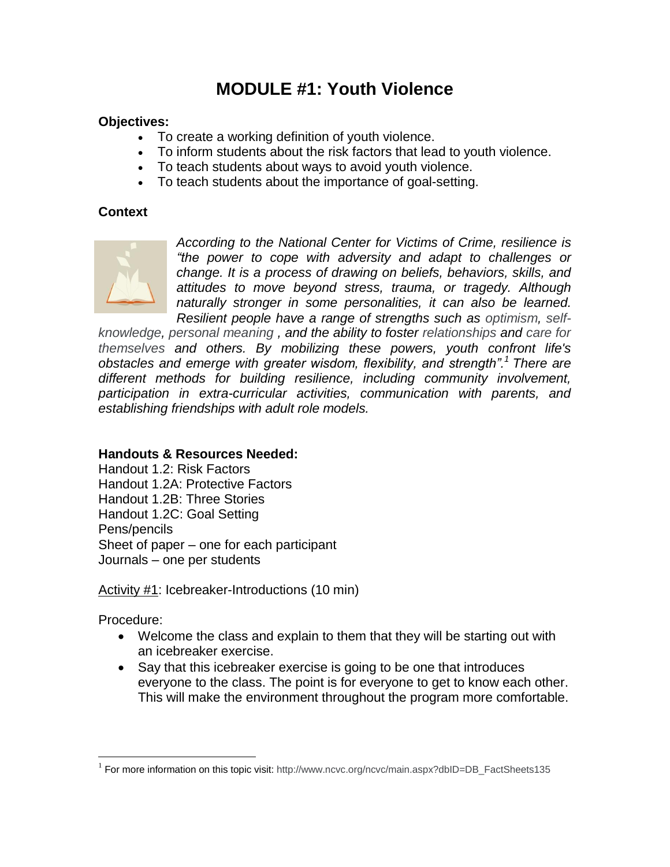# **MODULE #1: Youth Violence**

### **Objectives:**

- To create a working definition of youth violence.
- To inform students about the risk factors that lead to youth violence.
- To teach students about ways to avoid youth violence.
- To teach students about the importance of goal-setting.

### **Context**



*According to the National Center for Victims of Crime, resilience is "the power to cope with adversity and adapt to challenges or change. It is a process of drawing on beliefs, behaviors, skills, and attitudes to move beyond stress, trauma, or tragedy. Although naturally stronger in some personalities, it can also be learned. Resilient people have a range of strengths such as [optimism,](dhtmled11:main.aspx?dbID=DB_Optimism390) [self-](dhtmled11:main.aspx?dbID=DB_Self-knowledge138)*

*[knowledge,](dhtmled11:main.aspx?dbID=DB_Self-knowledge138) [personal meaning ,](dhtmled11:main.aspx?dbID=DB_PersonalMeaningandPerspective174) and the ability to foster [relationships](dhtmled11:main.aspx?dbID=DB_HealthyRelationships446) and [care for](dhtmled11:main.aspx?dbID=DB_HealthyCoping684)  [themselves a](dhtmled11:main.aspx?dbID=DB_HealthyCoping684)nd others. By mobilizing these powers, youth confront life's obstacles and emerge with greater wisdom, flexibility, and strength".<sup>1</sup> There are different methods for building resilience, including community involvement, participation in extra-curricular activities, communication with parents, and establishing friendships with adult role models.* 

### **Handouts & Resources Needed:**

Handout 1.2: Risk Factors Handout 1.2A: Protective Factors Handout 1.2B: Three Stories Handout 1.2C: Goal Setting Pens/pencils Sheet of paper – one for each participant Journals – one per students

Activity #1: Icebreaker-Introductions (10 min)

Procedure:

1

- Welcome the class and explain to them that they will be starting out with an icebreaker exercise.
- Say that this icebreaker exercise is going to be one that introduces everyone to the class. The point is for everyone to get to know each other. This will make the environment throughout the program more comfortable.

<sup>&</sup>lt;sup>1</sup> For more information on this topic visit: [http://www.ncvc.org/ncvc/main.aspx?dbID=DB\\_FactSheets135](http://www.ncvc.org/ncvc/main.aspx?dbID=DB_FactSheets135)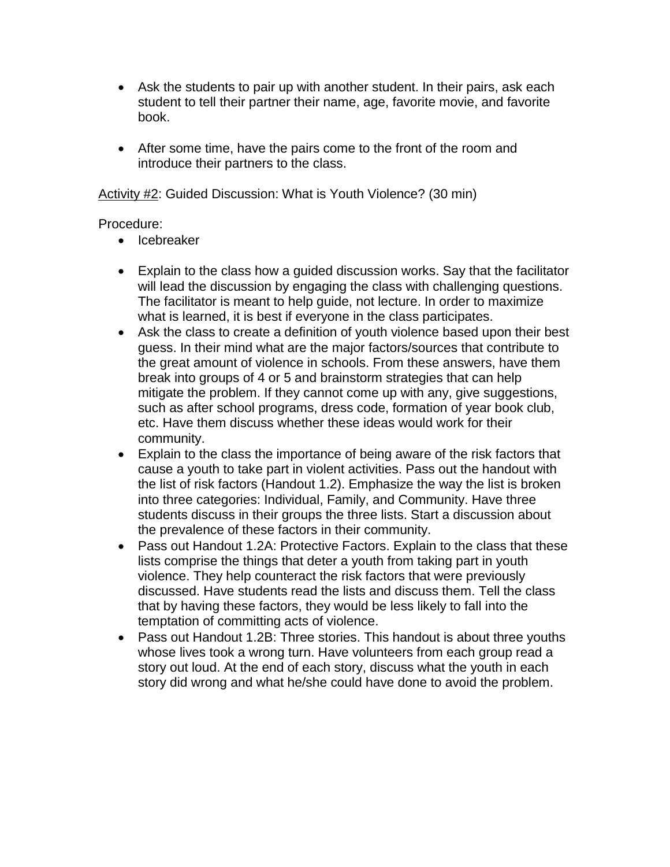- Ask the students to pair up with another student. In their pairs, ask each student to tell their partner their name, age, favorite movie, and favorite book.
- After some time, have the pairs come to the front of the room and introduce their partners to the class.

Activity #2: Guided Discussion: What is Youth Violence? (30 min)

### Procedure:

- Icebreaker
- Explain to the class how a guided discussion works. Say that the facilitator will lead the discussion by engaging the class with challenging questions. The facilitator is meant to help guide, not lecture. In order to maximize what is learned, it is best if everyone in the class participates.
- Ask the class to create a definition of youth violence based upon their best guess. In their mind what are the major factors/sources that contribute to the great amount of violence in schools. From these answers, have them break into groups of 4 or 5 and brainstorm strategies that can help mitigate the problem. If they cannot come up with any, give suggestions, such as after school programs, dress code, formation of year book club, etc. Have them discuss whether these ideas would work for their community.
- Explain to the class the importance of being aware of the risk factors that cause a youth to take part in violent activities. Pass out the handout with the list of risk factors (Handout 1.2). Emphasize the way the list is broken into three categories: Individual, Family, and Community. Have three students discuss in their groups the three lists. Start a discussion about the prevalence of these factors in their community.
- Pass out Handout 1.2A: Protective Factors. Explain to the class that these lists comprise the things that deter a youth from taking part in youth violence. They help counteract the risk factors that were previously discussed. Have students read the lists and discuss them. Tell the class that by having these factors, they would be less likely to fall into the temptation of committing acts of violence.
- Pass out Handout 1.2B: Three stories. This handout is about three youths whose lives took a wrong turn. Have volunteers from each group read a story out loud. At the end of each story, discuss what the youth in each story did wrong and what he/she could have done to avoid the problem.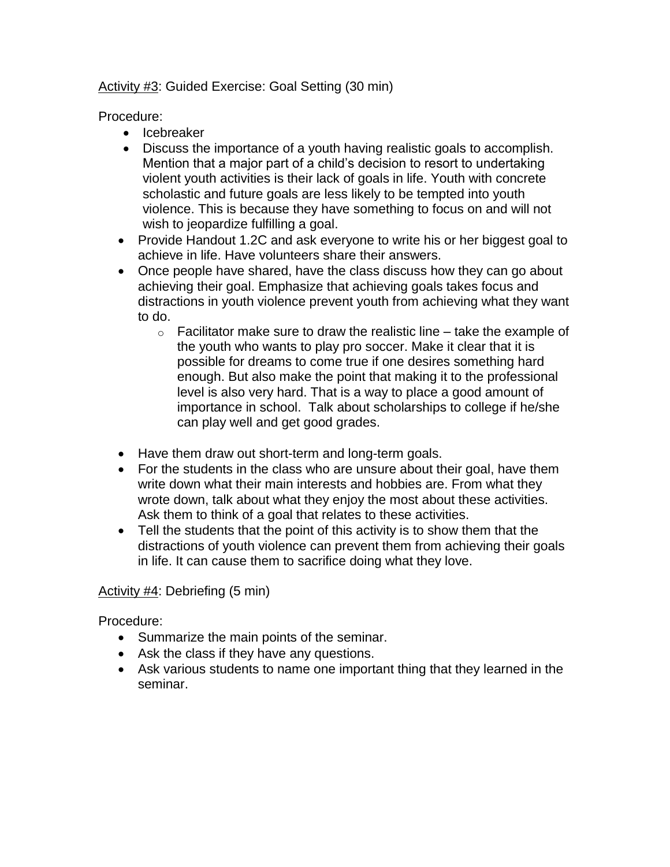Activity #3: Guided Exercise: Goal Setting (30 min)

Procedure:

- Icebreaker
- Discuss the importance of a youth having realistic goals to accomplish. Mention that a major part of a child's decision to resort to undertaking violent youth activities is their lack of goals in life. Youth with concrete scholastic and future goals are less likely to be tempted into youth violence. This is because they have something to focus on and will not wish to jeopardize fulfilling a goal.
- Provide Handout 1.2C and ask everyone to write his or her biggest goal to achieve in life. Have volunteers share their answers.
- Once people have shared, have the class discuss how they can go about achieving their goal. Emphasize that achieving goals takes focus and distractions in youth violence prevent youth from achieving what they want to do.
	- $\circ$  Facilitator make sure to draw the realistic line take the example of the youth who wants to play pro soccer. Make it clear that it is possible for dreams to come true if one desires something hard enough. But also make the point that making it to the professional level is also very hard. That is a way to place a good amount of importance in school. Talk about scholarships to college if he/she can play well and get good grades.
- Have them draw out short-term and long-term goals.
- For the students in the class who are unsure about their goal, have them write down what their main interests and hobbies are. From what they wrote down, talk about what they enjoy the most about these activities. Ask them to think of a goal that relates to these activities.
- Tell the students that the point of this activity is to show them that the distractions of youth violence can prevent them from achieving their goals in life. It can cause them to sacrifice doing what they love.

### Activity #4: Debriefing (5 min)

Procedure:

- Summarize the main points of the seminar.
- Ask the class if they have any questions.
- Ask various students to name one important thing that they learned in the seminar.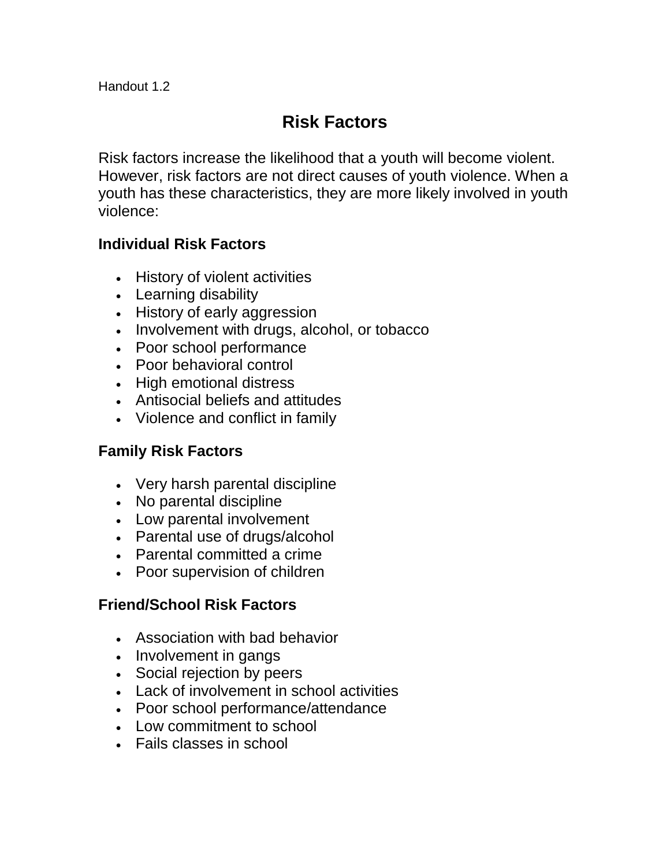# **Risk Factors**

Risk factors increase the likelihood that a youth will become violent. However, risk factors are not direct causes of youth violence. When a youth has these characteristics, they are more likely involved in youth violence:

# **Individual Risk Factors**

- History of violent activities
- Learning disability
- History of early aggression
- Involvement with drugs, alcohol, or tobacco
- Poor school performance
- Poor behavioral control
- High emotional distress
- Antisocial beliefs and attitudes
- Violence and conflict in family

# **Family Risk Factors**

- Very harsh parental discipline
- No parental discipline
- Low parental involvement
- Parental use of drugs/alcohol
- Parental committed a crime
- Poor supervision of children

# **Friend/School Risk Factors**

- Association with bad behavior
- Involvement in gangs
- Social rejection by peers
- Lack of involvement in school activities
- Poor school performance/attendance
- Low commitment to school
- Fails classes in school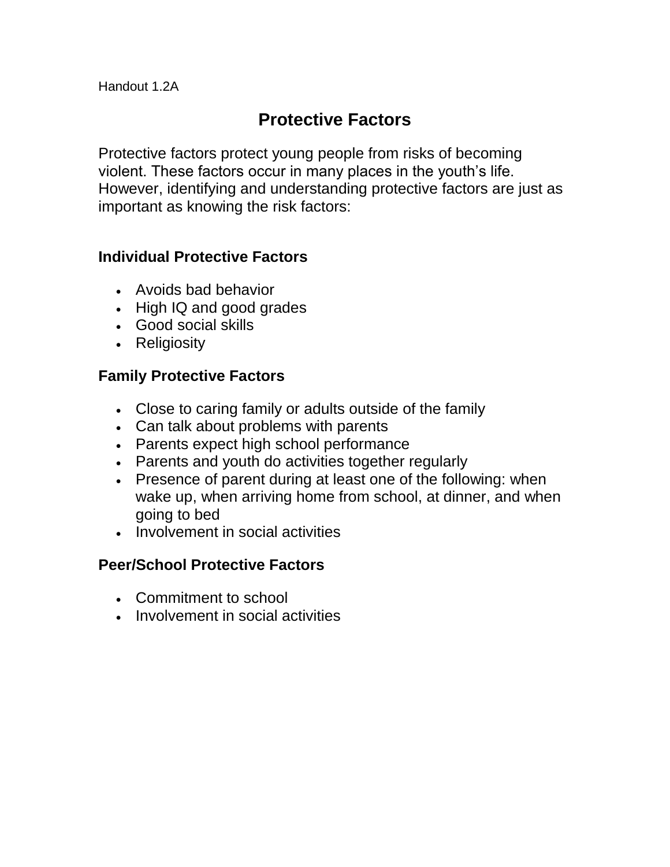# **Protective Factors**

Protective factors protect young people from risks of becoming violent. These factors occur in many places in the youth's life. However, identifying and understanding protective factors are just as important as knowing the risk factors:

### **Individual Protective Factors**

- Avoids bad behavior
- High IQ and good grades
- Good social skills
- Religiosity

# **Family Protective Factors**

- Close to caring family or adults outside of the family
- Can talk about problems with parents
- Parents expect high school performance
- Parents and youth do activities together regularly
- Presence of parent during at least one of the following: when wake up, when arriving home from school, at dinner, and when going to bed
- Involvement in social activities

# **Peer/School Protective Factors**

- Commitment to school
- Involvement in social activities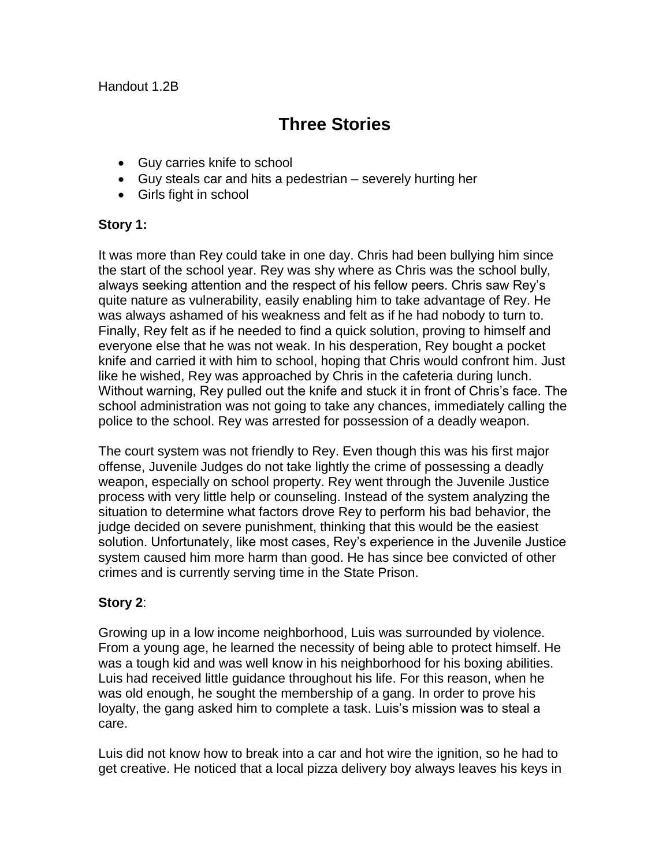Handout 1.2B

# **Three Stories**

- Guy carries knife to school
- Guy steals car and hits a pedestrian severely hurting her
- Girls fight in school

### **Story 1:**

It was more than Rey could take in one day. Chris had been bullying him since the start of the school year. Rey was shy where as Chris was the school bully, always seeking attention and the respect of his fellow peers. Chris saw Rey's quite nature as vulnerability, easily enabling him to take advantage of Rey. He was always ashamed of his weakness and felt as if he had nobody to turn to. Finally, Rey felt as if he needed to find a quick solution, proving to himself and everyone else that he was not weak. In his desperation, Rey bought a pocket knife and carried it with him to school, hoping that Chris would confront him. Just like he wished, Rey was approached by Chris in the cafeteria during lunch. Without warning, Rey pulled out the knife and stuck it in front of Chris's face. The school administration was not going to take any chances, immediately calling the police to the school. Rey was arrested for possession of a deadly weapon.

The court system was not friendly to Rey. Even though this was his first major offense, Juvenile Judges do not take lightly the crime of possessing a deadly weapon, especially on school property. Rey went through the Juvenile Justice process with very little help or counseling. Instead of the system analyzing the situation to determine what factors drove Rey to perform his bad behavior, the judge decided on severe punishment, thinking that this would be the easiest solution. Unfortunately, like most cases, Rey's experience in the Juvenile Justice system caused him more harm than good. He has since bee convicted of other crimes and is currently serving time in the State Prison.

### **Story 2**:

Growing up in a low income neighborhood, Luis was surrounded by violence. From a young age, he learned the necessity of being able to protect himself. He was a tough kid and was well know in his neighborhood for his boxing abilities. Luis had received little guidance throughout his life. For this reason, when he was old enough, he sought the membership of a gang. In order to prove his loyalty, the gang asked him to complete a task. Luis's mission was to steal a care.

Luis did not know how to break into a car and hot wire the ignition, so he had to get creative. He noticed that a local pizza delivery boy always leaves his keys in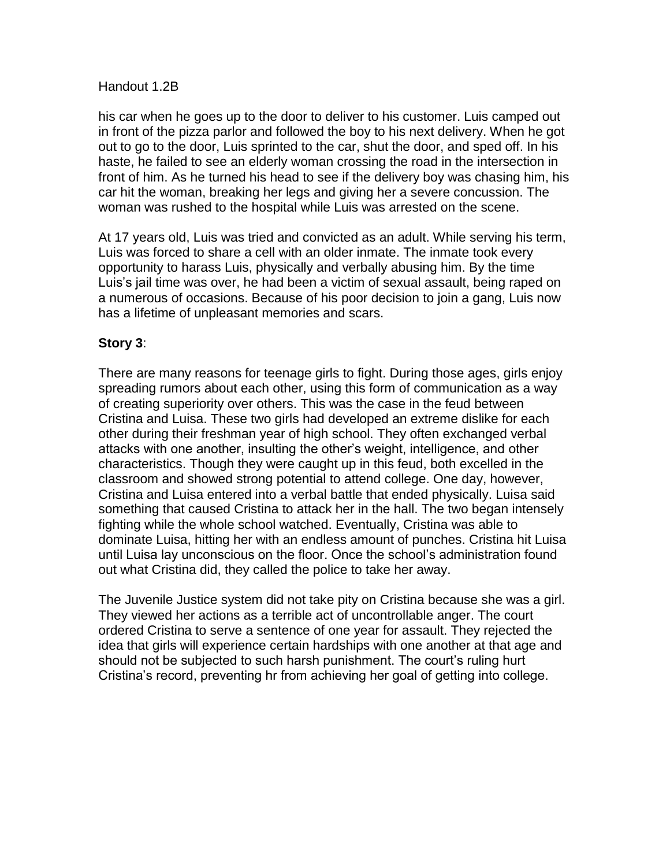#### Handout 1.2B

his car when he goes up to the door to deliver to his customer. Luis camped out in front of the pizza parlor and followed the boy to his next delivery. When he got out to go to the door, Luis sprinted to the car, shut the door, and sped off. In his haste, he failed to see an elderly woman crossing the road in the intersection in front of him. As he turned his head to see if the delivery boy was chasing him, his car hit the woman, breaking her legs and giving her a severe concussion. The woman was rushed to the hospital while Luis was arrested on the scene.

At 17 years old, Luis was tried and convicted as an adult. While serving his term, Luis was forced to share a cell with an older inmate. The inmate took every opportunity to harass Luis, physically and verbally abusing him. By the time Luis's jail time was over, he had been a victim of sexual assault, being raped on a numerous of occasions. Because of his poor decision to join a gang, Luis now has a lifetime of unpleasant memories and scars.

### **Story 3**:

There are many reasons for teenage girls to fight. During those ages, girls enjoy spreading rumors about each other, using this form of communication as a way of creating superiority over others. This was the case in the feud between Cristina and Luisa. These two girls had developed an extreme dislike for each other during their freshman year of high school. They often exchanged verbal attacks with one another, insulting the other's weight, intelligence, and other characteristics. Though they were caught up in this feud, both excelled in the classroom and showed strong potential to attend college. One day, however, Cristina and Luisa entered into a verbal battle that ended physically. Luisa said something that caused Cristina to attack her in the hall. The two began intensely fighting while the whole school watched. Eventually, Cristina was able to dominate Luisa, hitting her with an endless amount of punches. Cristina hit Luisa until Luisa lay unconscious on the floor. Once the school's administration found out what Cristina did, they called the police to take her away.

The Juvenile Justice system did not take pity on Cristina because she was a girl. They viewed her actions as a terrible act of uncontrollable anger. The court ordered Cristina to serve a sentence of one year for assault. They rejected the idea that girls will experience certain hardships with one another at that age and should not be subjected to such harsh punishment. The court's ruling hurt Cristina's record, preventing hr from achieving her goal of getting into college.